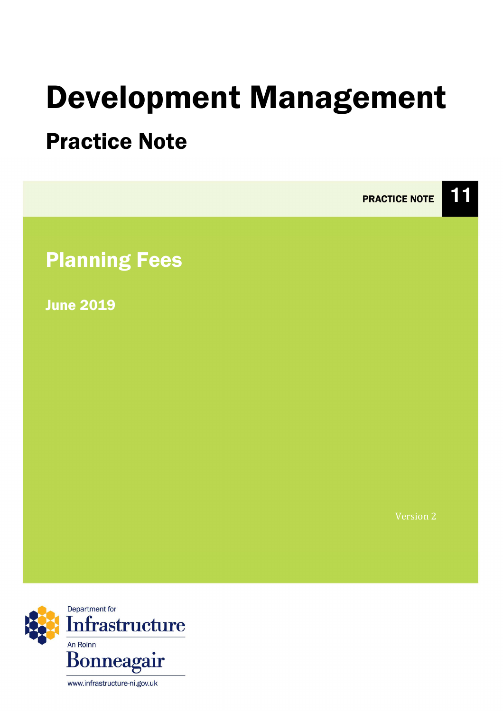# Development Management

# Practice Note



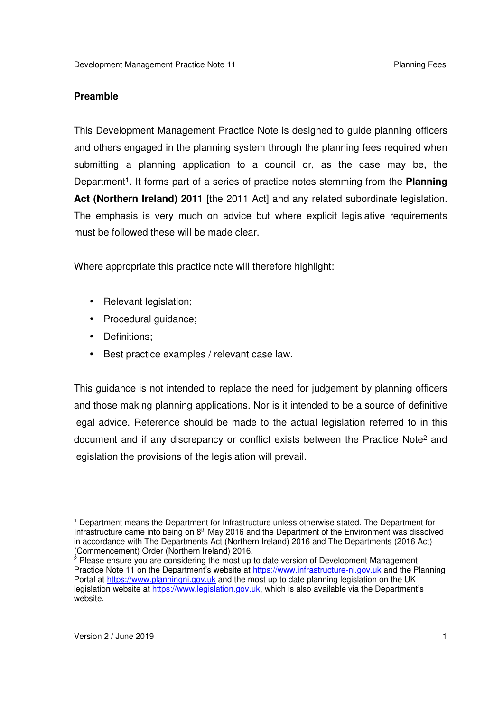#### **Preamble**

 This Development Management Practice Note is designed to guide planning officers and others engaged in the planning system through the planning fees required when submitting a planning application to a council or, as the case may be, the Department<sup>1</sup>. It forms part of a series of practice notes stemming from the **Planning Act (Northern Ireland) 2011** [the 2011 Act] and any related subordinate legislation. The emphasis is very much on advice but where explicit legislative requirements must be followed these will be made clear.

Where appropriate this practice note will therefore highlight:

- Relevant legislation;
- Procedural guidance;
- Definitions;
- Best practice examples / relevant case law.

 This guidance is not intended to replace the need for judgement by planning officers and those making planning applications. Nor is it intended to be a source of definitive legal advice. Reference should be made to the actual legislation referred to in this document and if any discrepancy or conflict exists between the Practice Note<sup>2</sup> and legislation the provisions of the legislation will prevail.

 <sup>1</sup> Department means the Department for Infrastructure unless otherwise stated. The Department for Infrastructure came into being on 8<sup>th</sup> May 2016 and the Department of the Environment was dissolved in accordance with The Departments Act (Northern Ireland) 2016 and The Departments (2016 Act) (Commencement) Order (Northern Ireland) 2016.

<sup>&</sup>lt;sup>2</sup> Please ensure you are considering the most up to date version of Development Management Practice Note 11 on the Department's website at https://www.infrastructure-ni.gov.uk and the Planning Portal at https://www.planningni.gov.uk and the most up to date planning legislation on the UK legislation website at <u>https://www.legislation.gov.uk</u>, which is also available via the Department's website.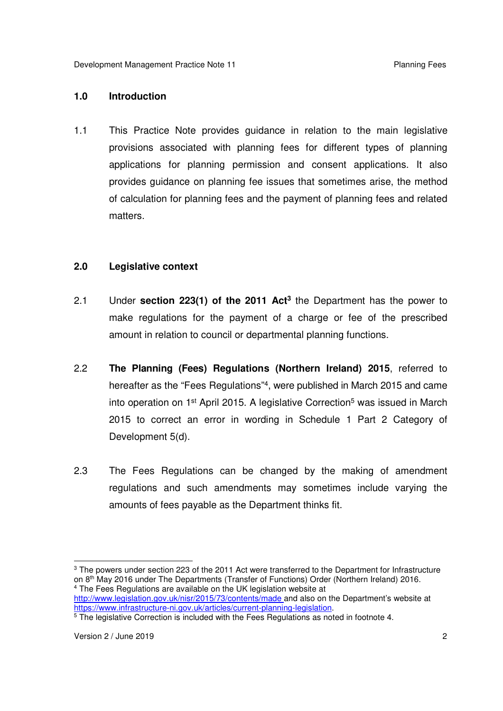#### **1.0 Introduction**

 $1.1$  provisions associated with planning fees for different types of planning applications for planning permission and consent applications. It also provides guidance on planning fee issues that sometimes arise, the method of calculation for planning fees and the payment of planning fees and related matters. This Practice Note provides guidance in relation to the main legislative

#### **2.0 Legislative context**

- $2.1$  make regulations for the payment of a charge or fee of the prescribed amount in relation to council or departmental planning functions. 2.1 Under **section 223(1) of the 2011 Act3** the Department has the power to
- $2.2$ hereafter as the "Fees Regulations"<sup>4</sup>, were published in March 2015 and came into operation on 1<sup>st</sup> April 2015. A legislative Correction<sup>5</sup> was issued in March 2015 to correct an error in wording in Schedule 1 Part 2 Category of Development 5(d). 2.2 **The Planning (Fees) Regulations (Northern Ireland) 2015**, referred to
- $2.3$  regulations and such amendments may sometimes include varying the amounts of fees payable as the Department thinks fit. The Fees Regulations can be changed by the making of amendment

 $3$  The powers under section 223 of the 2011 Act were transferred to the Department for Infrastructure on 8<sup>th</sup> May 2016 under The Departments (Transfer of Functions) Order (Northern Ireland) 2016.<br><sup>4</sup> The Fees Regulations are available on the UK legislation website at <sup>4</sup> The Fees Regulations are available on the UK legislation website at

 http://www.legislation.gov.uk/nisr/2015/73/contents/made and also on the Department's website at

<sup>&</sup>lt;u>https://www.infrastructure-ni.gov.uk/articles/current-planning-legislation</u>.<br><sup>5</sup> The legislative Correction is included with the Fees Regulations as noted in footnote 4.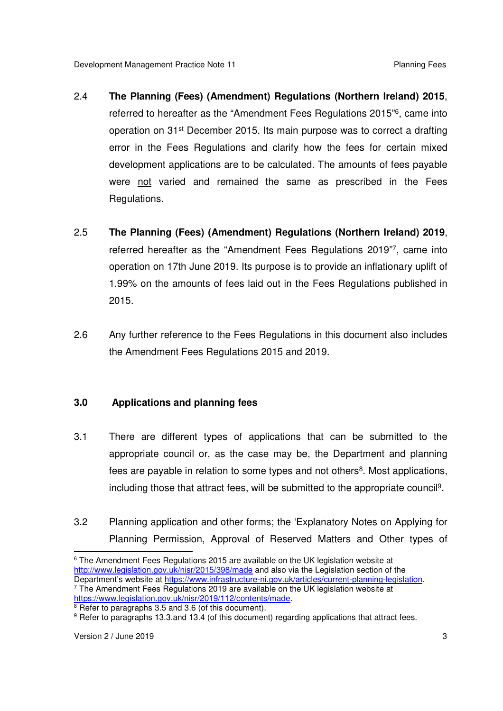- 2.4 **The Planning (Fees) (Amendment) Regulations (Northern Ireland) 2015**, referred to hereafter as the "Amendment Fees Regulations 2015"<sup>6</sup>, came into operation on 31<sup>st</sup> December 2015. Its main purpose was to correct a drafting error in the Fees Regulations and clarify how the fees for certain mixed development applications are to be calculated. The amounts of fees payable were not varied and remained the same as prescribed in the Fees Regulations.
- Regulations. 2.5 **The Planning (Fees) (Amendment) Regulations (Northern Ireland) 2019**, referred hereafter as the "Amendment Fees Regulations 2019"7, came into operation on 17th June 2019. Its purpose is to provide an inflationary uplift of 1.99% on the amounts of fees laid out in the Fees Regulations published in 2015.
- $2.6$  the Amendment Fees Regulations 2015 and 2019. Any further reference to the Fees Regulations in this document also includes

#### $3.0$ **3.0 Applications and planning fees**

- $3.1$  appropriate council or, as the case may be, the Department and planning fees are payable in relation to some types and not others<sup>8</sup>. Most applications, including those that attract fees, will be submitted to the appropriate council9. There are different types of applications that can be submitted to the
- 3.2 Planning application and other forms; the 'Explanatory Notes on Applying for Planning Permission, Approval of Reserved Matters and Other types of

 $\overline{a}$  $^6$  The Amendment Fees Regulations 2015 are available on the UK legislation website at http://www.legislation.gov.uk/nisr/2015/398/made and also via the Legislation section of the Department's website at https://www.infrastructure-ni.gov.uk/articles/current-planning-legislation. Department's website at <u>https://www.infrastructure-ni.gov.uk/articles/current-planning-legislation</u>.<br><sup>7</sup> The Amendment Fees Regulations 2019 are available on the UK legislation website at

<sup>&</sup>lt;u>https://www.legislation.gov.uk/nisr/2019/112/contents/made</u>.<br><sup>8</sup> Refer to paragraphs 3.5 and 3.6 (of this document).

<sup>&</sup>lt;sup>9</sup> Refer to paragraphs 13.3.and 13.4 (of this document) regarding applications that attract fees.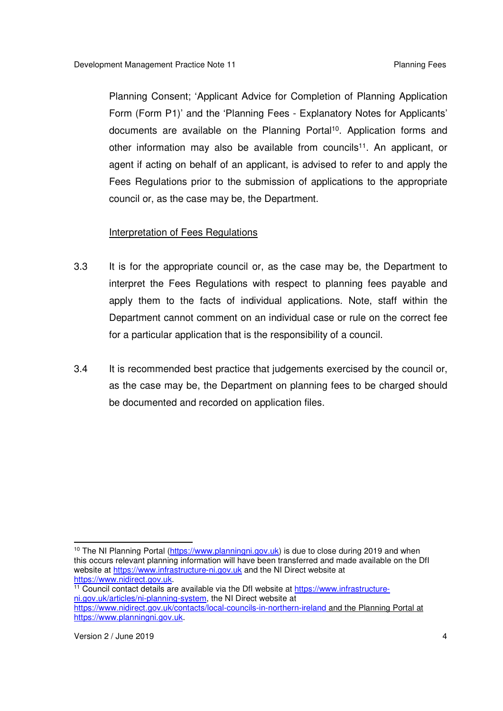Planning Consent; 'Applicant Advice for Completion of Planning Application Form (Form P1)' and the 'Planning Fees - Explanatory Notes for Applicants' documents are available on the Planning Portal<sup>10</sup>. Application forms and other information may also be available from councils<sup>11</sup>. An applicant, or agent if acting on behalf of an applicant, is advised to refer to and apply the Fees Regulations prior to the submission of applications to the appropriate council or, as the case may be, the Department.

#### **Interpretation of Fees Regulations**

- $3.3$  interpret the Fees Regulations with respect to planning fees payable and apply them to the facts of individual applications. Note, staff within the Department cannot comment on an individual case or rule on the correct fee for a particular application that is the responsibility of a council. It is for the appropriate council or, as the case may be, the Department to
- $3.4$  as the case may be, the Department on planning fees to be charged should be documented and recorded on application files. It is recommended best practice that judgements exercised by the council or,

<sup>&</sup>lt;sup>10</sup> The NI Planning Portal (https://www.planningni.gov.uk) is due to close during 2019 and when this occurs relevant planning information will have been transferred and made available on the DfI website at https://www.infrastructure-ni.gov.uk and the NI Direct website at

<sup>&</sup>lt;u>https://www.nidirect.gov.uk</u>.<br><sup>11</sup> Council contact details are available via the DfI website at <u>https://www.infrastructure-</u> ni.gov.uk/articles/ni-planning-system, the NI Direct website at https://www.nidirect.gov.uk/contacts/local-councils-in-northern-ireland and the Planning Portal at https://www.planningni.gov.uk.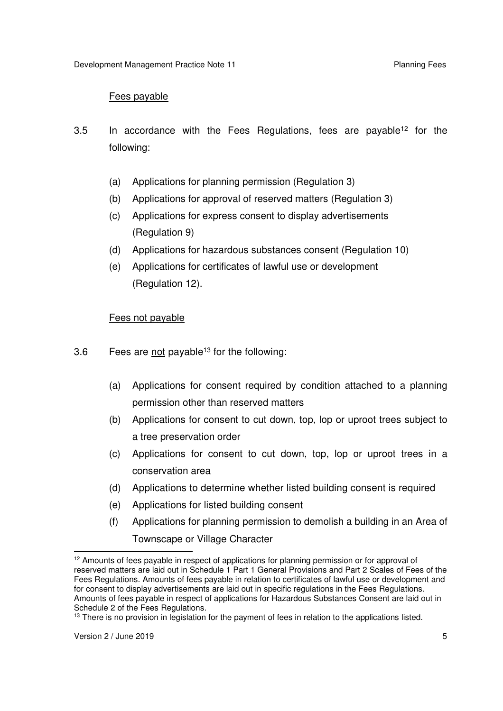#### Fees payable

- $3.5$ In accordance with the Fees Regulations, fees are payable<sup>12</sup> for the following:
	- (a) Applications for planning permission (Regulation 3)
	- (b) Applications for approval of reserved matters (Regulation 3)
	- (c) Applications for express consent to display advertisements (Regulation 9)
	- (d) Applications for hazardous substances consent (Regulation 10)
	- (e) Applications for certificates of lawful use or development (Regulation 12).

#### Fees not payable

- $3.6$ Fees are not payable<sup>13</sup> for the following:
	- $(a)$  permission other than reserved matters Applications for consent required by condition attached to a planning
	- (b) Applications for consent to cut down, top, lop or uproot trees subject to a tree preservation order
	- (c) Applications for consent to cut down, top, lop or uproot trees in a conservation area
	- (d) Applications to determine whether listed building consent is required
	- (e) Applications for listed building consent
	- (f) Applications for planning permission to demolish a building in an Area of Townscape or Village Character

 $12$  Amounts of fees payable in respect of applications for planning permission or for approval of reserved matters are laid out in Schedule 1 Part 1 General Provisions and Part 2 Scales of Fees of the Fees Regulations. Amounts of fees payable in relation to certificates of lawful use or development and for consent to display advertisements are laid out in specific regulations in the Fees Regulations. Amounts of fees payable in respect of applications for Hazardous Substances Consent are laid out in Schedule 2 of the Fees Regulations.

 $13$  There is no provision in legislation for the payment of fees in relation to the applications listed.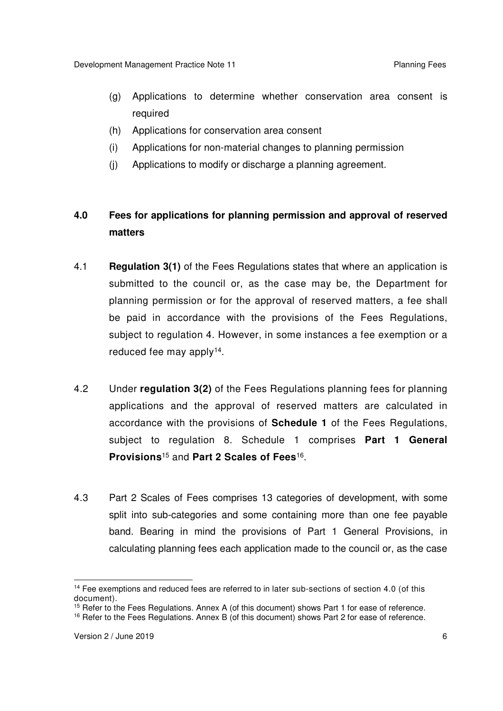- (g) Applications to determine whether conservation area consent is required
- required<br>(h) Applications for conservation area consent
- (i) Applications for non-material changes to planning permission
- (j) Applications to modify or discharge a planning agreement.

#### **4.0 Fees for applications for planning permission and approval of reserved matters**

- 4.1 **Regulation 3(1)** of the Fees Regulations states that where an application is submitted to the council or, as the case may be, the Department for planning permission or for the approval of reserved matters, a fee shall be paid in accordance with the provisions of the Fees Regulations, subject to regulation 4. However, in some instances a fee exemption or a reduced fee may apply<sup>14</sup>.
- $4.2$  applications and the approval of reserved matters are calculated in accordance with the provisions of **Schedule 1** of the Fees Regulations, subject to regulation 8. Schedule 1 comprises **Part 1 General Provisions**15 and **Part 2 Scales of Fees**16 . 4.2 Under **regulation 3(2)** of the Fees Regulations planning fees for planning
- $4.3$  split into sub-categories and some containing more than one fee payable band. Bearing in mind the provisions of Part 1 General Provisions, in calculating planning fees each application made to the council or, as the case Part 2 Scales of Fees comprises 13 categories of development, with some

<sup>15</sup> Refer to the Fees Regulations. Annex A (of this document) shows Part 1 for ease of reference.

<sup>&</sup>lt;sup>14</sup> Fee exemptions and reduced fees are referred to in later sub-sections of section 4.0 (of this document).

<sup>&</sup>lt;sup>16</sup> Refer to the Fees Regulations. Annex B (of this document) shows Part 2 for ease of reference.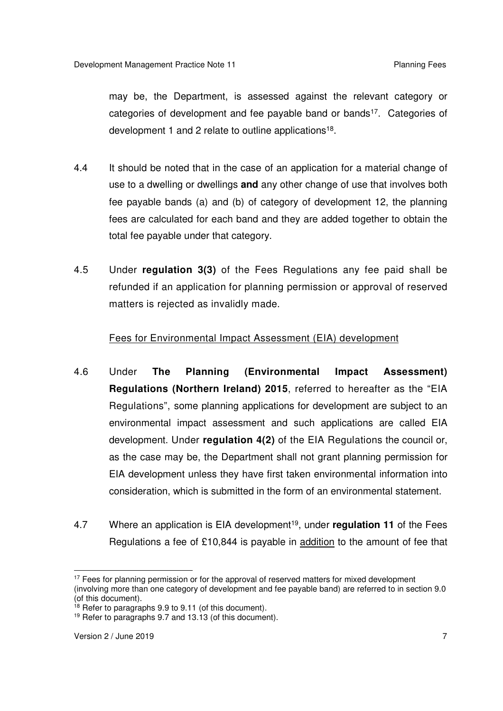may be, the Department, is assessed against the relevant category or categories of development and fee payable band or bands<sup>17</sup>. Categories of development 1 and 2 relate to outline applications<sup>18</sup>.

- $4.4$  use to a dwelling or dwellings **and** any other change of use that involves both fee payable bands (a) and (b) of category of development 12, the planning fees are calculated for each band and they are added together to obtain the total fee payable under that category. It should be noted that in the case of an application for a material change of
- $4.5$  refunded if an application for planning permission or approval of reserved matters is rejected as invalidly made. 4.5 Under **regulation 3(3)** of the Fees Regulations any fee paid shall be

#### Fees for Environmental Impact Assessment (EIA) development

- 4.6  **Regulations (Northern Ireland) 2015**, referred to hereafter as the "EIA Regulations", some planning applications for development are subject to an environmental impact assessment and such applications are called EIA development. Under **regulation 4(2)** of the EIA Regulations the council or, as the case may be, the Department shall not grant planning permission for EIA development unless they have first taken environmental information into consideration, which is submitted in the form of an environmental statement. 4.6 Under **The Planning (Environmental Impact Assessment)**
- 4.7 Regulations a fee of £10,844 is payable in **addition** to the amount of fee that 4.7 Where an application is EIA development19, under **regulation 11** of the Fees

<sup>&</sup>lt;sup>17</sup> Fees for planning permission or for the approval of reserved matters for mixed development (involving more than one category of development and fee payable band) are referred to in section 9.0 (of this document).

<sup>&</sup>lt;sup>18</sup> Refer to paragraphs 9.9 to 9.11 (of this document).

<sup>&</sup>lt;sup>19</sup> Refer to paragraphs 9.7 and 13.13 (of this document).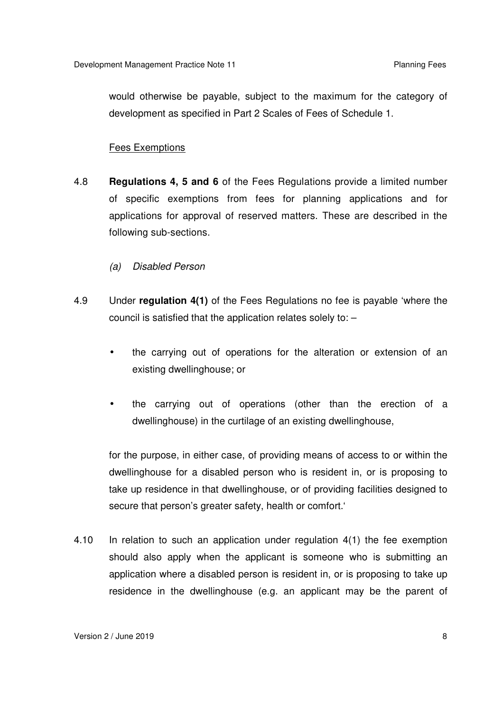would otherwise be payable, subject to the maximum for the category of development as specified in Part 2 Scales of Fees of Schedule 1.

#### Fees Exemptions

- 4.8 **Regulations 4, 5 and 6** of the Fees Regulations provide a limited number of specific exemptions from fees for planning applications and for applications for approval of reserved matters. These are described in the following sub-sections.
	- *(a) Disabled Person*
- 4.9 council is satisfied that the application relates solely to: – 4.9 Under **regulation 4(1)** of the Fees Regulations no fee is payable 'where the
	- $\bullet$  existing dwellinghouse; or • the carrying out of operations for the alteration or extension of an
	- $\bullet$  dwellinghouse) in the curtilage of an existing dwellinghouse, • the carrying out of operations (other than the erection of a

 for the purpose, in either case, of providing means of access to or within the dwellinghouse for a disabled person who is resident in, or is proposing to take up residence in that dwellinghouse, or of providing facilities designed to secure that person's greater safety, health or comfort.'

4.10 should also apply when the applicant is someone who is submitting an application where a disabled person is resident in, or is proposing to take up residence in the dwellinghouse (e.g. an applicant may be the parent of In relation to such an application under regulation  $4(1)$  the fee exemption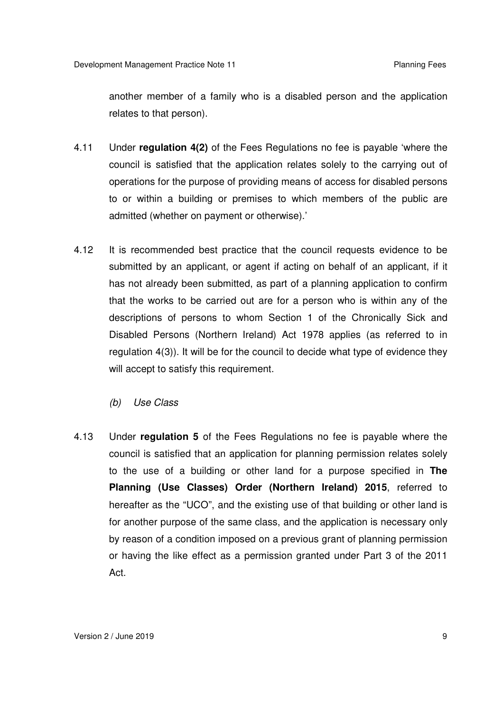another member of a family who is a disabled person and the application relates to that person).

- $4.11$  council is satisfied that the application relates solely to the carrying out of operations for the purpose of providing means of access for disabled persons to or within a building or premises to which members of the public are admitted (whether on payment or otherwise).' 4.11 Under **regulation 4(2)** of the Fees Regulations no fee is payable 'where the
- $4.12$  submitted by an applicant, or agent if acting on behalf of an applicant, if it has not already been submitted, as part of a planning application to confirm that the works to be carried out are for a person who is within any of the descriptions of persons to whom Section 1 of the Chronically Sick and Disabled Persons (Northern Ireland) Act 1978 applies (as referred to in regulation 4(3)). It will be for the council to decide what type of evidence they will accept to satisfy this requirement. It is recommended best practice that the council requests evidence to be
	- $(b)$ *(b) Use Class*
- 4.13 council is satisfied that an application for planning permission relates solely to the use of a building or other land for a purpose specified in **The Planning (Use Classes) Order (Northern Ireland) 2015**, referred to hereafter as the "UCO", and the existing use of that building or other land is for another purpose of the same class, and the application is necessary only by reason of a condition imposed on a previous grant of planning permission or having the like effect as a permission granted under Part 3 of the 2011 4.13 Under **regulation 5** of the Fees Regulations no fee is payable where the Act.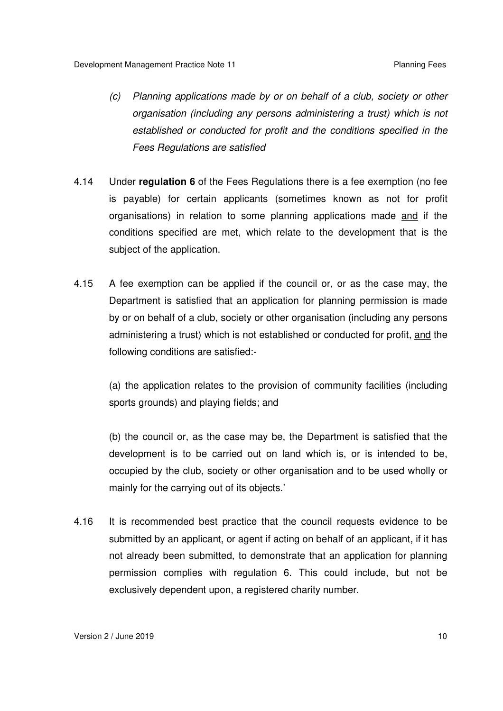- *(c) Planning applications made by or on behalf of a club, society or other organisation (including any persons administering a trust) which is not established or conducted for profit and the conditions specified in the Fees Regulations are satisfied*
- 4.14 Under **regulation 6** of the Fees Regulations there is a fee exemption (no fee is payable) for certain applicants (sometimes known as not for profit organisations) in relation to some planning applications made <u>and</u> if the conditions specified are met, which relate to the development that is the subject of the application.
- $4.15$  Department is satisfied that an application for planning permission is made by or on behalf of a club, society or other organisation (including any persons administering a trust) which is not established or conducted for profit, <u>and</u> the following conditions are satisfied:- A fee exemption can be applied if the council or, or as the case may, the

 sports grounds) and playing fields; and (a) the application relates to the provision of community facilities (including

 development is to be carried out on land which is, or is intended to be, occupied by the club, society or other organisation and to be used wholly or mainly for the carrying out of its objects.' (b) the council or, as the case may be, the Department is satisfied that the

4.16 submitted by an applicant, or agent if acting on behalf of an applicant, if it has not already been submitted, to demonstrate that an application for planning permission complies with regulation 6. This could include, but not be exclusively dependent upon, a registered charity number. It is recommended best practice that the council requests evidence to be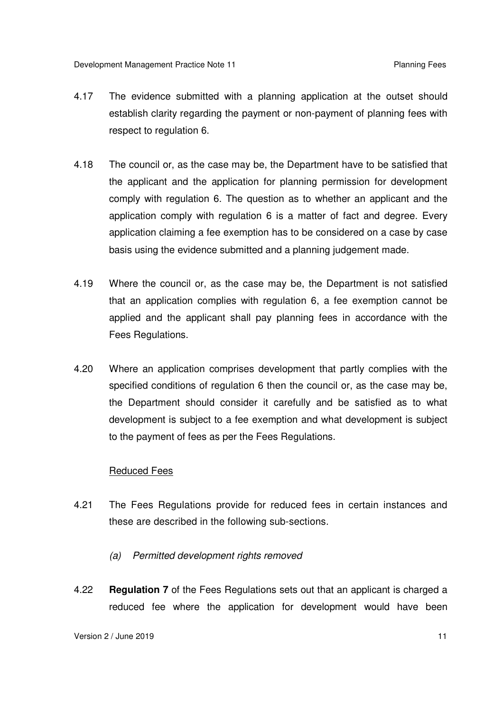- 4.17 establish clarity regarding the payment or non-payment of planning fees with respect to regulation 6. The evidence submitted with a planning application at the outset should
- 4.18 the applicant and the application for planning permission for development comply with regulation 6. The question as to whether an applicant and the application comply with regulation 6 is a matter of fact and degree. Every application claiming a fee exemption has to be considered on a case by case basis using the evidence submitted and a planning judgement made. The council or, as the case may be, the Department have to be satisfied that
- 4.19 that an application complies with regulation 6, a fee exemption cannot be applied and the applicant shall pay planning fees in accordance with the Fees Regulations. Where the council or, as the case may be, the Department is not satisfied
- $4.20$  specified conditions of regulation 6 then the council or, as the case may be, the Department should consider it carefully and be satisfied as to what development is subject to a fee exemption and what development is subject to the payment of fees as per the Fees Regulations. Where an application comprises development that partly complies with the

#### Reduced Fees

- 4.21 these are described in the following sub-sections. The Fees Regulations provide for reduced fees in certain instances and
	- *(a) Permitted development rights removed*
- 4.22 **Regulation 7** of the Fees Regulations sets out that an applicant is charged a reduced fee where the application for development would have been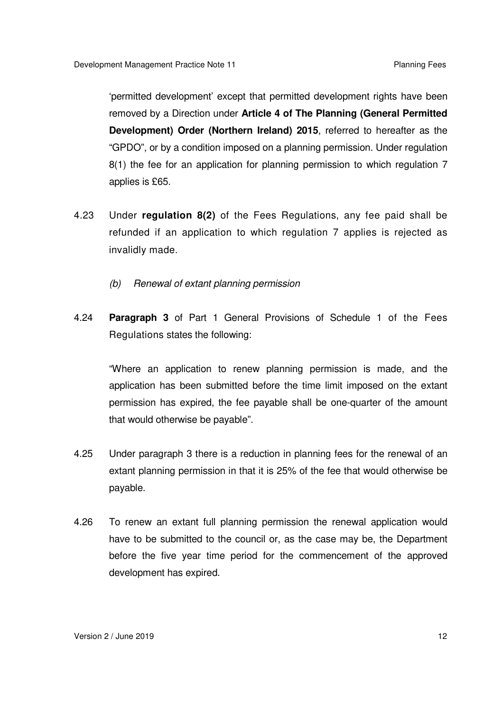'permitted development' except that permitted development rights have been removed by a Direction under **Article 4 of The Planning (General Permitted Development) Order (Northern Ireland) 2015**, referred to hereafter as the "GPDO", or by a condition imposed on a planning permission. Under regulation 8(1) the fee for an application for planning permission to which regulation 7 applies is £65.

- 4.23 refunded if an application to which regulation 7 applies is rejected as invalidly made. 4.23 Under **regulation 8(2)** of the Fees Regulations, any fee paid shall be
	- $(b)$ *(b) Renewal of extant planning permission*
- 4.24 **Paragraph 3** of Part 1 General Provisions of Schedule 1 of the Fees Regulations states the following:

 "Where an application to renew planning permission is made, and the application has been submitted before the time limit imposed on the extant permission has expired, the fee payable shall be one-quarter of the amount that would otherwise be payable".

- 4.25 extant planning permission in that it is 25% of the fee that would otherwise be Under paragraph 3 there is a reduction in planning fees for the renewal of an payable.
- 4.26 have to be submitted to the council or, as the case may be, the Department before the five year time period for the commencement of the approved development has expired. To renew an extant full planning permission the renewal application would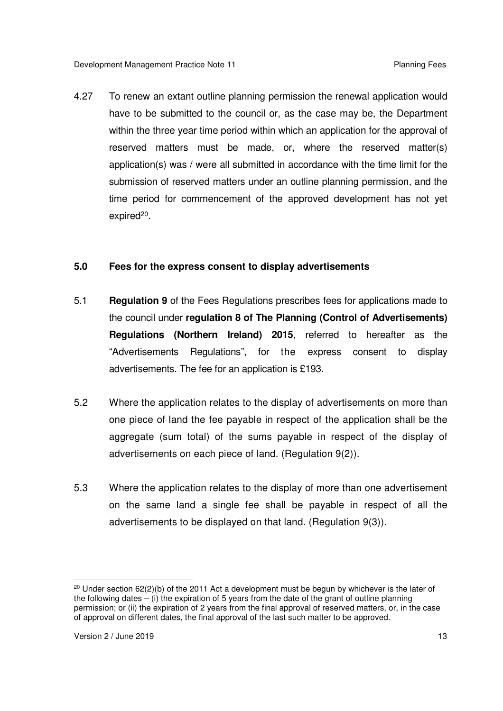4.27 have to be submitted to the council or, as the case may be, the Department within the three year time period within which an application for the approval of reserved matters must be made, or, where the reserved matter(s) application(s) was / were all submitted in accordance with the time limit for the submission of reserved matters under an outline planning permission, and the time period for commencement of the approved development has not yet expired<sup>20</sup>. To renew an extant outline planning permission the renewal application would

#### **5.0 Fees for the express consent to display advertisements**

- 5.1 **Regulation 9** of the Fees Regulations prescribes fees for applications made to the council under **regulation 8 of The Planning (Control of Advertisements) Regulations (Northern Ireland) 2015**, referred to hereafter as the "Advertisements Regulations", for the express consent to display advertisements. The fee for an application is £193.
- $5.2$  one piece of land the fee payable in respect of the application shall be the aggregate (sum total) of the sums payable in respect of the display of advertisements on each piece of land. (Regulation 9(2)). Where the application relates to the display of advertisements on more than
- 5.3 on the same land a single fee shall be payable in respect of all the advertisements to be displayed on that land. (Regulation 9(3)). Where the application relates to the display of more than one advertisement

 $\overline{a}$ <sup>20</sup> Under section 62(2)(b) of the 2011 Act a development must be begun by whichever is the later of the following dates – (i) the expiration of 5 years from the date of the grant of outline planning permission; or (ii) the expiration of 2 years from the final approval of reserved matters, or, in the case of approval on different dates, the final approval of the last such matter to be approved.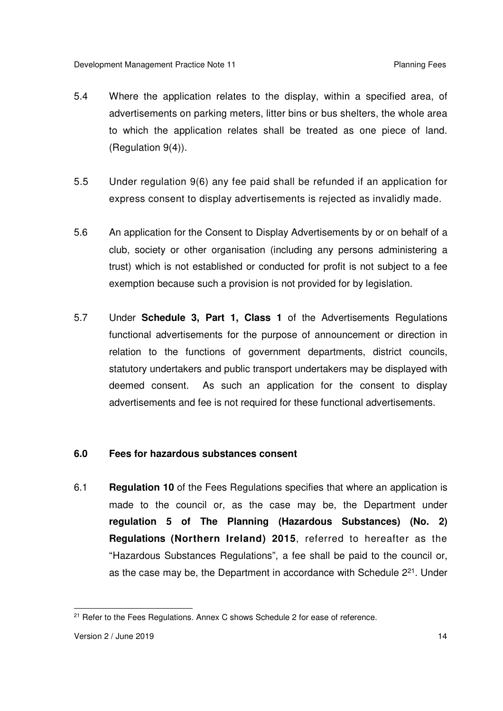- $5.4$  advertisements on parking meters, litter bins or bus shelters, the whole area to which the application relates shall be treated as one piece of land. (Regulation 9(4)). Where the application relates to the display, within a specified area, of
- $5.5$  express consent to display advertisements is rejected as invalidly made. 5.5 Under regulation 9(6) any fee paid shall be refunded if an application for
- $5.6$  club, society or other organisation (including any persons administering a trust) which is not established or conducted for profit is not subject to a fee exemption because such a provision is not provided for by legislation. An application for the Consent to Display Advertisements by or on behalf of a
- 5.7 functional advertisements for the purpose of announcement or direction in relation to the functions of government departments, district councils, statutory undertakers and public transport undertakers may be displayed with deemed consent. advertisements and fee is not required for these functional advertisements. 5.7 Under **Schedule 3, Part 1, Class 1** of the Advertisements Regulations As such an application for the consent to display

#### **6.0 Fees for hazardous substances consent**

 6.1 **Regulation 10** of the Fees Regulations specifies that where an application is made to the council or, as the case may be, the Department under  **regulation 5 of The Planning (Hazardous Substances) (No. 2) Regulations (Northern Ireland) 2015**, referred to hereafter as the "Hazardous Substances Regulations", a fee shall be paid to the council or, as the case may be, the Department in accordance with Schedule 2<sup>21</sup>. Under

 $\overline{a}$ <sup>21</sup> Refer to the Fees Regulations. Annex C shows Schedule 2 for ease of reference.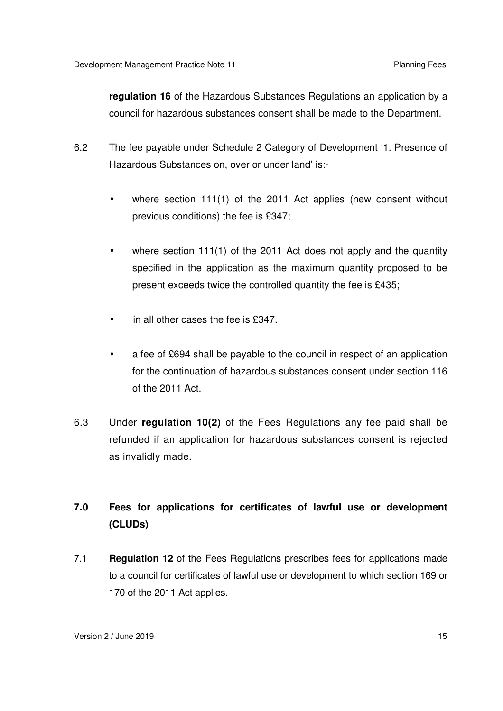**regulation 16** of the Hazardous Substances Regulations an application by a council for hazardous substances consent shall be made to the Department.

- $6.2$  Hazardous Substances on, over or under land' is:- The fee payable under Schedule 2 Category of Development '1. Presence of
	- $\bullet$  previous conditions) the fee is £347; where section 111(1) of the 2011 Act applies (new consent without
	- $\bullet$  specified in the application as the maximum quantity proposed to be present exceeds twice the controlled quantity the fee is £435; where section  $111(1)$  of the 2011 Act does not apply and the quantity
	- in all other cases the fee is £347.
	- $\bullet$  for the continuation of hazardous substances consent under section 116 of the 2011 Act. a fee of £694 shall be payable to the council in respect of an application
- 6.3 refunded if an application for hazardous substances consent is rejected as invalidly made. 6.3 Under **regulation 10(2)** of the Fees Regulations any fee paid shall be

#### $7.0$ **7.0 Fees for applications for certificates of lawful use or development (CLUDs)**

 7.1 **Regulation 12** of the Fees Regulations prescribes fees for applications made to a council for certificates of lawful use or development to which section 169 or 170 of the 2011 Act applies.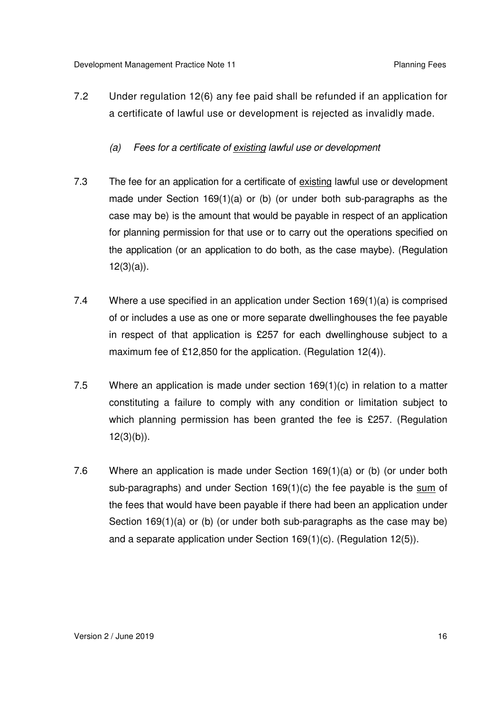- $7.2$  a certificate of lawful use or development is rejected as invalidly made. Under regulation 12(6) any fee paid shall be refunded if an application for
	- $(a)$ Fees for a certificate of existing lawful use or development
- $7.3$  made under Section 169(1)(a) or (b) (or under both sub-paragraphs as the case may be) is the amount that would be payable in respect of an application for planning permission for that use or to carry out the operations specified on the application (or an application to do both, as the case maybe). (Regulation  $12(3)(a)$ ). The fee for an application for a certificate of existing lawful use or development
- $7.4$  of or includes a use as one or more separate dwellinghouses the fee payable in respect of that application is £257 for each dwellinghouse subject to a maximum fee of £12,850 for the application. (Regulation 12(4)). Where a use specified in an application under Section 169(1)(a) is comprised
- $7.5$  constituting a failure to comply with any condition or limitation subject to which planning permission has been granted the fee is £257. (Regulation Where an application is made under section  $169(1)(c)$  in relation to a matter  $12(3)(b)$ ).
- $7.6$ sub-paragraphs) and under Section 169(1)(c) the fee payable is the sum of the fees that would have been payable if there had been an application under Section 169(1)(a) or (b) (or under both sub-paragraphs as the case may be) and a separate application under Section 169(1)(c). (Regulation 12(5)). Where an application is made under Section 169(1)(a) or (b) (or under both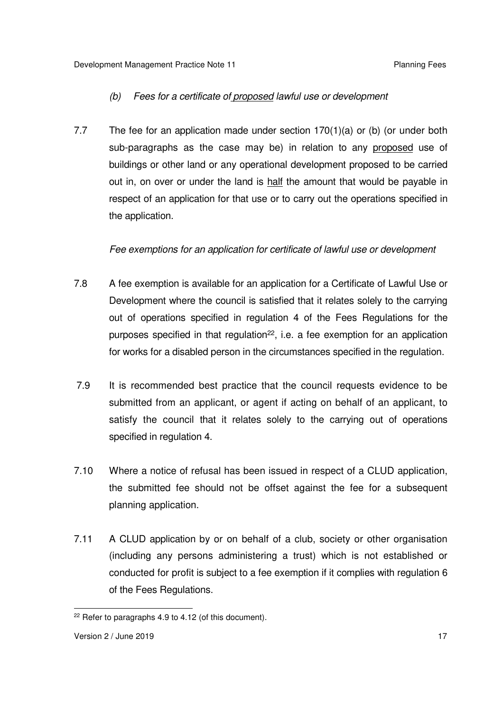#### *(b) Fees for a certificate of proposed lawful use or development*

 $7.7$ sub-paragraphs as the case may be) in relation to any proposed use of buildings or other land or any operational development proposed to be carried out in, on over or under the land is half the amount that would be payable in respect of an application for that use or to carry out the operations specified in the application. The fee for an application made under section  $170(1)(a)$  or (b) (or under both

#### *Fee exemptions for an application for certificate of lawful use or development*

- $7.8$  Development where the council is satisfied that it relates solely to the carrying out of operations specified in regulation 4 of the Fees Regulations for the purposes specified in that regulation<sup>22</sup>, i.e. a fee exemption for an application for works for a disabled person in the circumstances specified in the regulation. A fee exemption is available for an application for a Certificate of Lawful Use or
- 7.9 submitted from an applicant, or agent if acting on behalf of an applicant, to satisfy the council that it relates solely to the carrying out of operations specified in regulation 4. It is recommended best practice that the council requests evidence to be
- $7.10$  the submitted fee should not be offset against the fee for a subsequent Where a notice of refusal has been issued in respect of a CLUD application, planning application.
- $7.11$  (including any persons administering a trust) which is not established or conducted for profit is subject to a fee exemption if it complies with regulation 6 of the Fees Regulations. A CLUD application by or on behalf of a club, society or other organisation

 $\overline{a}$  $22$  Refer to paragraphs 4.9 to 4.12 (of this document).

Version 2 / June 2019 **17**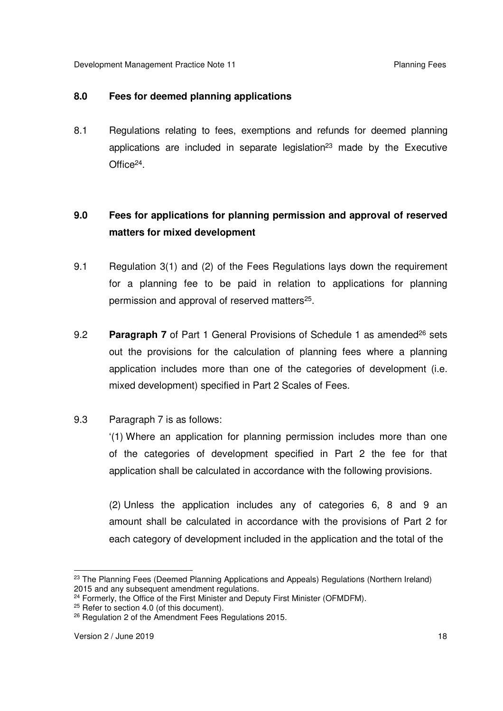#### **8.0 Fees for deemed planning applications**

 8.1 Regulations relating to fees, exemptions and refunds for deemed planning applications are included in separate legislation<sup>23</sup> made by the Executive Office<sup>24</sup>.

#### **matters for mixed development 9.0 Fees for applications for planning permission and approval of reserved**

- 9.1 Regulation 3(1) and (2) of the Fees Regulations lays down the requirement for a planning fee to be paid in relation to applications for planning permission and approval of reserved matters<sup>25</sup>.
- 9.2 **Paragraph 7** of Part 1 General Provisions of Schedule 1 as amended<sup>26</sup> sets out the provisions for the calculation of planning fees where a planning application includes more than one of the categories of development (i.e. mixed development) specified in Part 2 Scales of Fees.

## 9.3 Paragraph 7 is as follows:

 '(1) Where an application for planning permission includes more than one application shall be calculated in accordance with the following provisions. of the categories of development specified in Part 2 the fee for that

 (2) Unless the application includes any of categories 6, 8 and 9 an amount shall be calculated in accordance with the provisions of Part 2 for each category of development included in the application and the total of the

 $\overline{a}$ <sup>23</sup> The Planning Fees (Deemed Planning Applications and Appeals) Regulations (Northern Ireland) 2015 and any subsequent amendment regulations.

<sup>&</sup>lt;sup>24</sup> Formerly, the Office of the First Minister and Deputy First Minister (OFMDFM).

 $25$  Refer to section 4.0 (of this document).

<sup>&</sup>lt;sup>26</sup> Regulation 2 of the Amendment Fees Regulations 2015.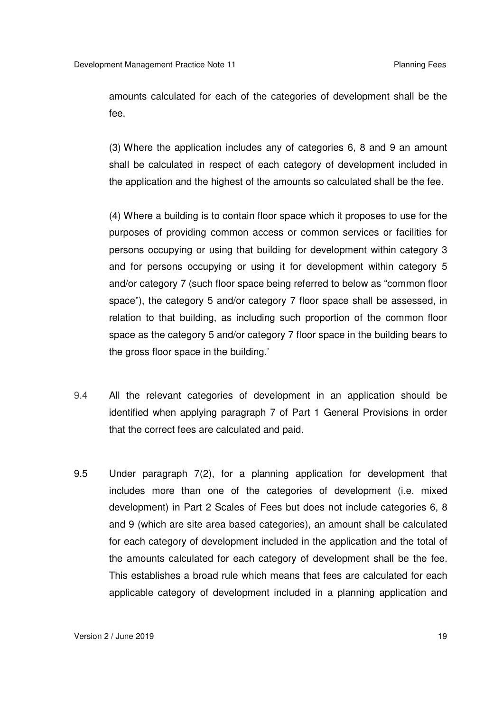amounts calculated for each of the categories of development shall be the fee.

 (3) Where the application includes any of categories 6, 8 and 9 an amount shall be calculated in respect of each category of development included in the application and the highest of the amounts so calculated shall be the fee.

 (4) Where a building is to contain floor space which it proposes to use for the purposes of providing common access or common services or facilities for persons occupying or using that building for development within category 3 and/or category 7 (such floor space being referred to below as "common floor space"), the category 5 and/or category 7 floor space shall be assessed, in relation to that building, as including such proportion of the common floor space as the category 5 and/or category 7 floor space in the building bears to and for persons occupying or using it for development within category 5 the gross floor space in the building.'

- 9.4 All the relevant categories of development in an application should be identified when applying paragraph 7 of Part 1 General Provisions in order that the correct fees are calculated and paid.
- 9.5 includes more than one of the categories of development (i.e. mixed development) in Part 2 Scales of Fees but does not include categories 6, 8 and 9 (which are site area based categories), an amount shall be calculated for each category of development included in the application and the total of the amounts calculated for each category of development shall be the fee. This establishes a broad rule which means that fees are calculated for each applicable category of development included in a planning application and Under paragraph 7(2), for a planning application for development that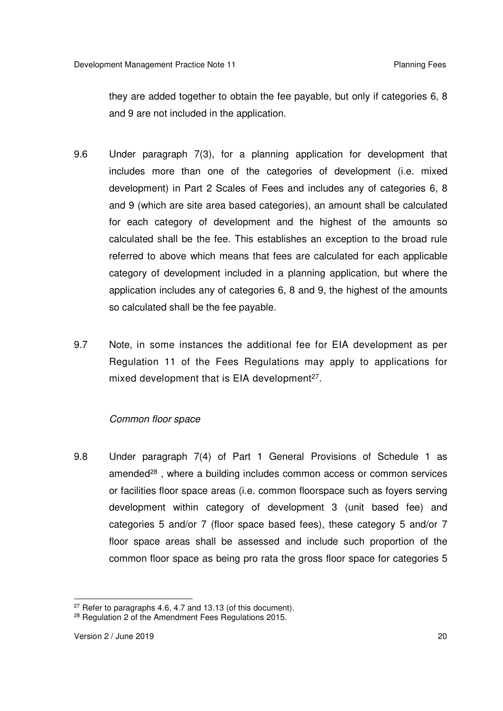they are added together to obtain the fee payable, but only if categories 6, 8 and 9 are not included in the application.

- $9.6$  includes more than one of the categories of development (i.e. mixed development) in Part 2 Scales of Fees and includes any of categories 6, 8 and 9 (which are site area based categories), an amount shall be calculated for each category of development and the highest of the amounts so calculated shall be the fee. This establishes an exception to the broad rule referred to above which means that fees are calculated for each applicable category of development included in a planning application, but where the application includes any of categories 6, 8 and 9, the highest of the amounts so calculated shall be the fee payable. Under paragraph 7(3), for a planning application for development that
- 9.7 Regulation 11 of the Fees Regulations may apply to applications for mixed development that is EIA development<sup>27</sup>. Note, in some instances the additional fee for EIA development as per

#### *Common floor space*

9.8 amended<sup>28</sup>, where a building includes common access or common services or facilities floor space areas (i.e. common floorspace such as foyers serving development within category of development 3 (unit based fee) and categories 5 and/or 7 (floor space based fees), these category 5 and/or 7 floor space areas shall be assessed and include such proportion of the common floor space as being pro rata the gross floor space for categories 5 Under paragraph 7(4) of Part 1 General Provisions of Schedule 1 as

 $\overline{a}$  $27$  Refer to paragraphs 4.6, 4.7 and 13.13 (of this document).

<sup>&</sup>lt;sup>28</sup> Regulation 2 of the Amendment Fees Regulations 2015.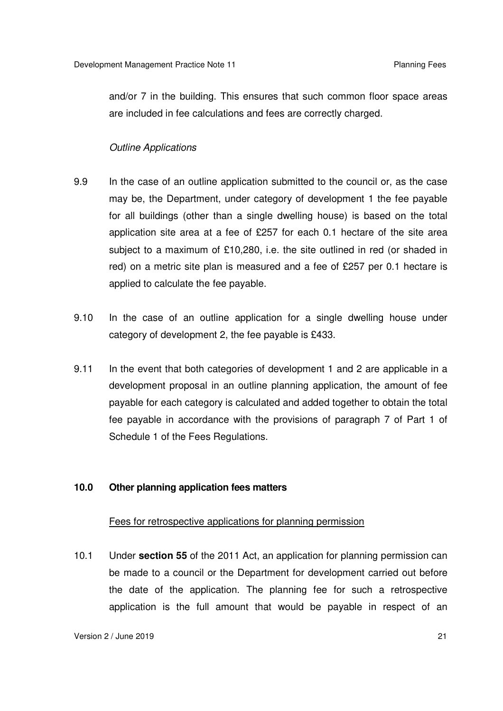and/or 7 in the building. This ensures that such common floor space areas are included in fee calculations and fees are correctly charged.

#### *Outline Applications*

- 9.9 may be, the Department, under category of development 1 the fee payable for all buildings (other than a single dwelling house) is based on the total application site area at a fee of £257 for each 0.1 hectare of the site area subject to a maximum of £10,280, i.e. the site outlined in red (or shaded in red) on a metric site plan is measured and a fee of £257 per 0.1 hectare is applied to calculate the fee payable. In the case of an outline application submitted to the council or, as the case
- $9.10$  category of development 2, the fee payable is £433. In the case of an outline application for a single dwelling house under
- $9.11$  development proposal in an outline planning application, the amount of fee payable for each category is calculated and added together to obtain the total fee payable in accordance with the provisions of paragraph 7 of Part 1 of Schedule 1 of the Fees Regulations. In the event that both categories of development 1 and 2 are applicable in a

#### **10.0 Other planning application fees matters**

#### Fees for retrospective applications for planning permission

 $10.1$  be made to a council or the Department for development carried out before the date of the application. The planning fee for such a retrospective application is the full amount that would be payable in respect of an 10.1 Under **section 55** of the 2011 Act, an application for planning permission can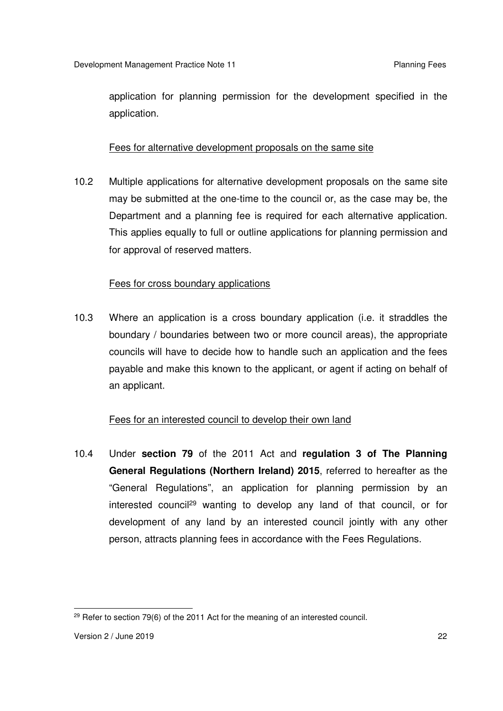application for planning permission for the development specified in the application.

# Fees for alternative development proposals on the same site

 $10.2$  may be submitted at the one-time to the council or, as the case may be, the Department and a planning fee is required for each alternative application. This applies equally to full or outline applications for planning permission and for approval of reserved matters. Multiple applications for alternative development proposals on the same site

#### Fees for cross boundary applications

 $10.3$  boundary / boundaries between two or more council areas), the appropriate councils will have to decide how to handle such an application and the fees payable and make this known to the applicant, or agent if acting on behalf of an applicant. Where an application is a cross boundary application (i.e. it straddles the

# Fees for an interested council to develop their own land

 $10.4$  **General Regulations (Northern Ireland) 2015**, referred to hereafter as the "General Regulations", an application for planning permission by an interested council<sup>29</sup> wanting to develop any land of that council, or for development of any land by an interested council jointly with any other person, attracts planning fees in accordance with the Fees Regulations. 10.4 Under **section 79** of the 2011 Act and **regulation 3 of The Planning** 

 $\overline{a}$  $29$  Refer to section 79(6) of the 2011 Act for the meaning of an interested council.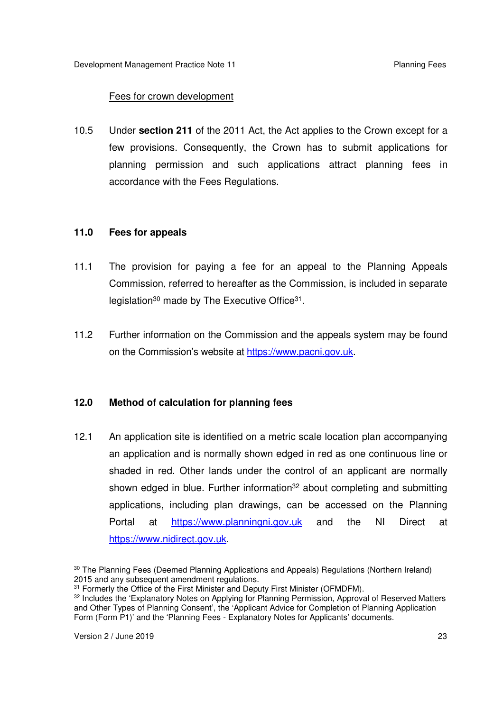# Fees for crown development

 10.5 Under **section 211** of the 2011 Act, the Act applies to the Crown except for a few provisions. Consequently, the Crown has to submit applications for planning permission and such applications attract planning fees in accordance with the Fees Regulations.

#### **11.0 Fees for appeals**

- $11.1$  Commission, referred to hereafter as the Commission, is included in separate legislation<sup>30</sup> made by The Executive Office<sup>31</sup>. The provision for paying a fee for an appeal to the Planning Appeals
- $11.2$ on the Commission's website at https://www.pacni.gov.uk. Further information on the Commission and the appeals system may be found

## **12.0 Method of calculation for planning fees**

 $12.1$  an application and is normally shown edged in red as one continuous line or shaded in red. Other lands under the control of an applicant are normally shown edged in blue. Further information<sup>32</sup> about completing and submitting applications, including plan drawings, can be accessed on the Planning Portal An application site is identified on a metric scale location plan accompanying at https://www.planningni.gov.uk and the NI Direct at https://www.nidirect.gov.uk.

 $\overline{a}$ <sup>30</sup> The Planning Fees (Deemed Planning Applications and Appeals) Regulations (Northern Ireland) 2015 and any subsequent amendment regulations.

<sup>&</sup>lt;sup>31</sup> Formerly the Office of the First Minister and Deputy First Minister (OFMDFM).

 $32$  Includes the 'Explanatory Notes on Applying for Planning Permission, Approval of Reserved Matters and Other Types of Planning Consent', the 'Applicant Advice for Completion of Planning Application Form (Form P1)' and the 'Planning Fees - Explanatory Notes for Applicants' documents.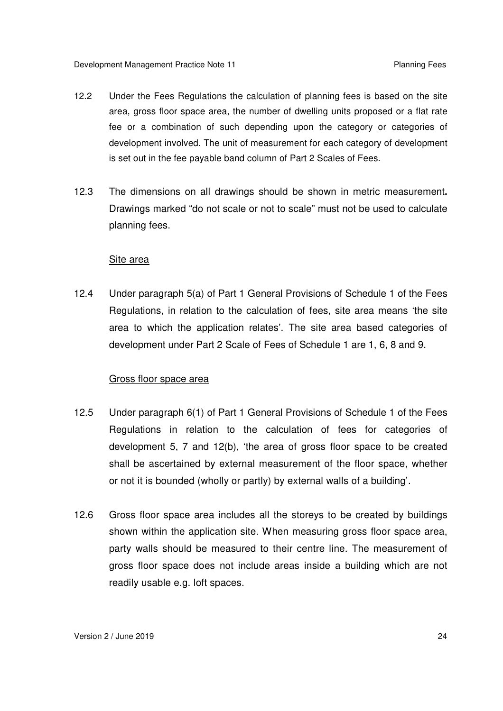- $12.2$  area, gross floor space area, the number of dwelling units proposed or a flat rate fee or a combination of such depending upon the category or categories of development involved. The unit of measurement for each category of development is set out in the fee payable band column of Part 2 Scales of Fees. Under the Fees Regulations the calculation of planning fees is based on the site
- $12.3$  Drawings marked "do not scale or not to scale" must not be used to calculate planning fees. 12.3 The dimensions on all drawings should be shown in metric measurement**.**

#### Site area

 $12.4$  Regulations, in relation to the calculation of fees, site area means 'the site area to which the application relates'. The site area based categories of development under Part 2 Scale of Fees of Schedule 1 are 1, 6, 8 and 9. Under paragraph 5(a) of Part 1 General Provisions of Schedule 1 of the Fees

#### Gross floor space area

- $12.5$  Regulations in relation to the calculation of fees for categories of development 5, 7 and 12(b), 'the area of gross floor space to be created shall be ascertained by external measurement of the floor space, whether or not it is bounded (wholly or partly) by external walls of a building'. 12.5 Under paragraph 6(1) of Part 1 General Provisions of Schedule 1 of the Fees
- $126$  shown within the application site. When measuring gross floor space area, party walls should be measured to their centre line. The measurement of gross floor space does not include areas inside a building which are not readily usable e.g. loft spaces. Gross floor space area includes all the storeys to be created by buildings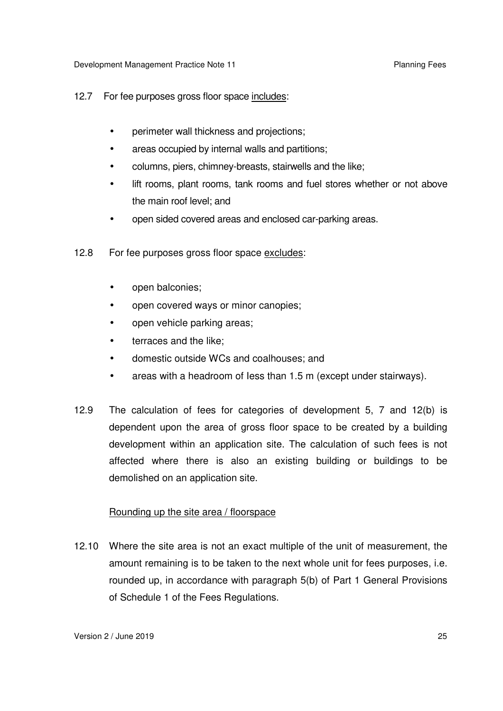#### $12.7$ For fee purposes gross floor space includes:

- perimeter wall thickness and projections;
- areas occupied by internal walls and partitions;
- columns, piers, chimney-breasts, stairwells and the like;
- $\bullet$  the main roof level; and lift rooms, plant rooms, tank rooms and fuel stores whether or not above
- open sided covered areas and enclosed car-parking areas.
- $12.8$ For fee purposes gross floor space excludes:
	- open balconies;
	- open covered ways or minor canopies;
	- $\bullet$ open vehicle parking areas;
	- terraces and the like;
	- domestic outside WCs and coalhouses; and
	- $\bullet$ • areas with a headroom of Iess than 1.5 m (except under stairways).
- $12.9$  dependent upon the area of gross floor space to be created by a building development within an application site. The calculation of such fees is not affected where there is also an existing building or buildings to be demolished on an application site. The calculation of fees for categories of development 5, 7 and 12(b) is

#### Rounding up the site area / floorspace

 12.10 Where the site area is not an exact multiple of the unit of measurement, the amount remaining is to be taken to the next whole unit for fees purposes, i.e. rounded up, in accordance with paragraph 5(b) of Part 1 General Provisions of Schedule 1 of the Fees Regulations.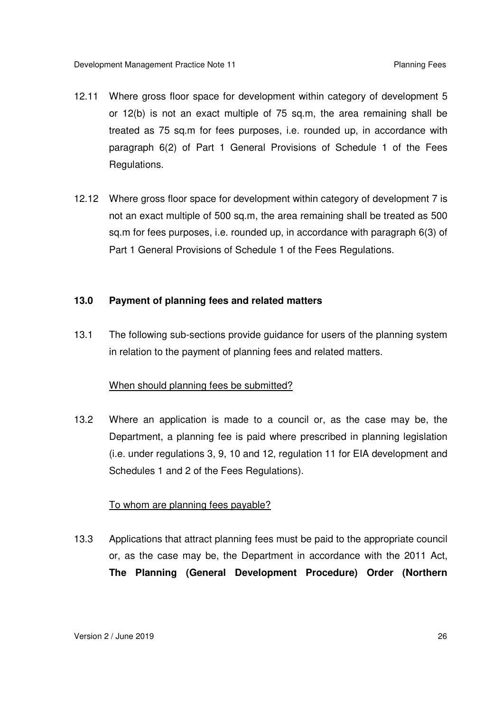- 12.11 Where gross floor space for development within category of development 5 or 12(b) is not an exact multiple of 75 sq.m, the area remaining shall be treated as 75 sq.m for fees purposes, i.e. rounded up, in accordance with paragraph 6(2) of Part 1 General Provisions of Schedule 1 of the Fees Regulations.
- 12.12 Where gross floor space for development within category of development 7 is not an exact multiple of 500 sq.m, the area remaining shall be treated as 500 sq.m for fees purposes, i.e. rounded up, in accordance with paragraph 6(3) of Part 1 General Provisions of Schedule 1 of the Fees Regulations.

#### **13.0 Payment of planning fees and related matters**

 $13.1$  in relation to the payment of planning fees and related matters. The following sub-sections provide guidance for users of the planning system

#### When should planning fees be submitted?

 $13.2$  Department, a planning fee is paid where prescribed in planning legislation (i.e. under regulations 3, 9, 10 and 12, regulation 11 for EIA development and Schedules 1 and 2 of the Fees Regulations). Where an application is made to a council or, as the case may be, the

#### To whom are planning fees payable?

 13.3 Applications that attract planning fees must be paid to the appropriate council or, as the case may be, the Department in accordance with the 2011 Act,  **The Planning (General Development Procedure) Order (Northern**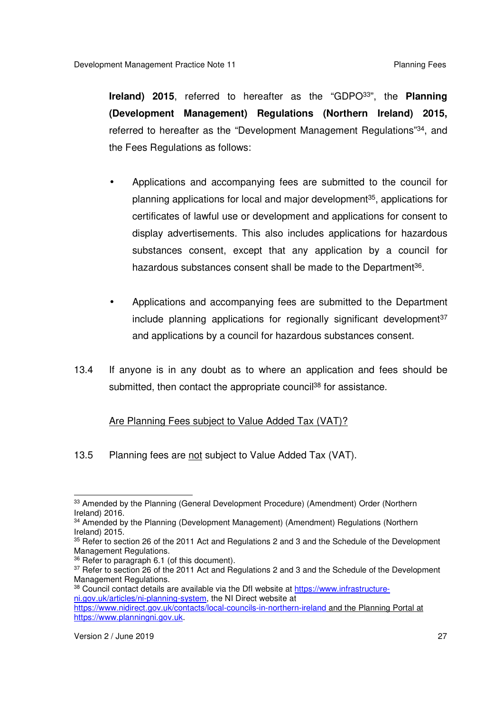**Ireland) 2015**, referred to hereafter as the "GDPO33", the **Planning (Development Management) Regulations (Northern Ireland) 2015,**  referred to hereafter as the "Development Management Regulations"<sup>34</sup>, and the Fees Regulations as follows:

- • Applications and accompanying fees are submitted to the council for planning applications for local and major development<sup>35</sup>, applications for certificates of lawful use or development and applications for consent to display advertisements. This also includes applications for hazardous substances consent, except that any application by a council for hazardous substances consent shall be made to the Department<sup>36</sup>.
- • Applications and accompanying fees are submitted to the Department include planning applications for regionally significant development<sup>37</sup> and applications by a council for hazardous substances consent.
- $13.4$ submitted, then contact the appropriate council<sup>38</sup> for assistance. If anyone is in any doubt as to where an application and fees should be

#### Are Planning Fees subject to Value Added Tax (VAT)?

13.5 Planning fees are not subject to Value Added Tax (VAT).

<sup>36</sup> Refer to paragraph 6.1 (of this document).

 $\overline{a}$ <sup>33</sup> Amended by the Planning (General Development Procedure) (Amendment) Order (Northern Ireland) 2016.

<sup>&</sup>lt;sup>34</sup> Amended by the Planning (Development Management) (Amendment) Regulations (Northern Ireland) 2015.

 $35$  Refer to section 26 of the 2011 Act and Regulations 2 and 3 and the Schedule of the Development Management Regulations.

<sup>&</sup>lt;sup>37</sup> Refer to section 26 of the 2011 Act and Regulations 2 and 3 and the Schedule of the Development Management Regulations.

<sup>&</sup>lt;sup>38</sup> Council contact details are available via the DfI website at https://www.infrastructure-ni.gov.uk/articles/ni-planning-system, the NI Direct website at

 https://www.nidirect.gov.uk/contacts/local-councils-in-northern-ireland and the Planning Portal at https://www.planningni.gov.uk.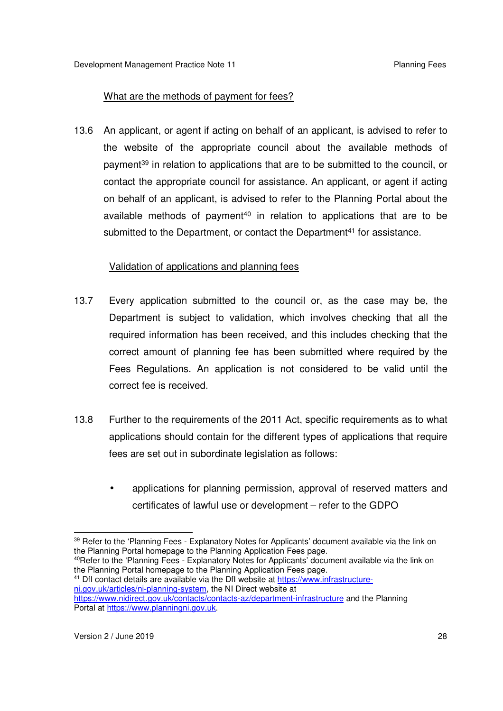# What are the methods of payment for fees?

 13.6 An applicant, or agent if acting on behalf of an applicant, is advised to refer to the website of the appropriate council about the available methods of payment<sup>39</sup> in relation to applications that are to be submitted to the council, or contact the appropriate council for assistance. An applicant, or agent if acting on behalf of an applicant, is advised to refer to the Planning Portal about the available methods of payment<sup>40</sup> in relation to applications that are to be submitted to the Department, or contact the Department<sup>41</sup> for assistance.

## Validation of applications and planning fees

- $13.7$  Department is subject to validation, which involves checking that all the required information has been received, and this includes checking that the correct amount of planning fee has been submitted where required by the Fees Regulations. An application is not considered to be valid until the correct fee is received. Every application submitted to the council or, as the case may be, the
- $13.8$  applications should contain for the different types of applications that require fees are set out in subordinate legislation as follows: Further to the requirements of the 2011 Act, specific requirements as to what
	- • applications for planning permission, approval of reserved matters and certificates of lawful use or development – refer to the GDPO

<sup>40</sup>Refer to the 'Planning Fees - Explanatory Notes for Applicants' document available via the link on the Planning Portal homepage to the Planning Application Fees page.

<sup>41</sup> DfI contact details are available via the DfI website at https://www.infrastructure- ni.gov.uk/articles/ni-planning-system, the NI Direct website at https://www.nidirect.gov.uk/contacts/contacts-az/department-infrastructure and the Planning

Portal at https://www.planningni.gov.uk.

 $\overline{a}$ <sup>39</sup> Refer to the 'Planning Fees - Explanatory Notes for Applicants' document available via the link on the Planning Portal homepage to the Planning Application Fees page.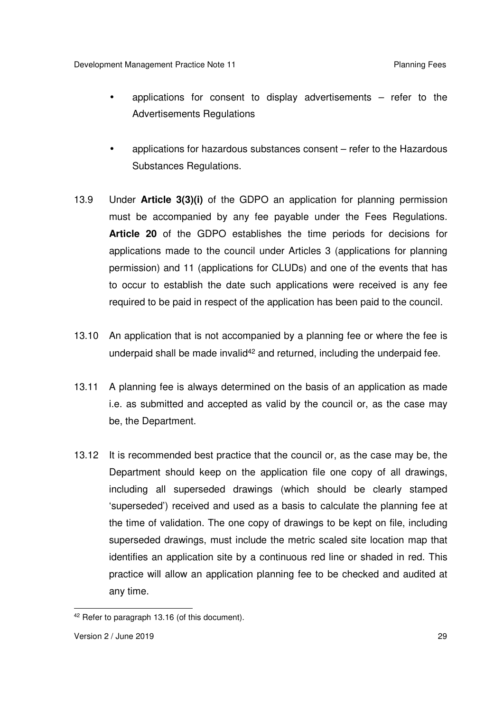- • applications for consent to display advertisements refer to the Advertisements Regulations
- • applications for hazardous substances consent refer to the Hazardous Substances Regulations.
- $13.9$  must be accompanied by any fee payable under the Fees Regulations.  **Article 20** of the GDPO establishes the time periods for decisions for applications made to the council under Articles 3 (applications for planning permission) and 11 (applications for CLUDs) and one of the events that has to occur to establish the date such applications were received is any fee required to be paid in respect of the application has been paid to the council. 13.9 Under **Article 3(3)(i)** of the GDPO an application for planning permission
- 13.10 An application that is not accompanied by a planning fee or where the fee is underpaid shall be made invalid<sup>42</sup> and returned, including the underpaid fee.
- 13.11 A planning fee is always determined on the basis of an application as made i.e. as submitted and accepted as valid by the council or, as the case may be, the Department.
- 13.12 It is recommended best practice that the council or, as the case may be, the Department should keep on the application file one copy of all drawings, including all superseded drawings (which should be clearly stamped 'superseded') received and used as a basis to calculate the planning fee at the time of validation. The one copy of drawings to be kept on file, including superseded drawings, must include the metric scaled site location map that identifies an application site by a continuous red line or shaded in red. This practice will allow an application planning fee to be checked and audited at any time.

 $\overline{a}$ <sup>42</sup> Refer to paragraph 13.16 (of this document).

 Version 2 / June 2019 29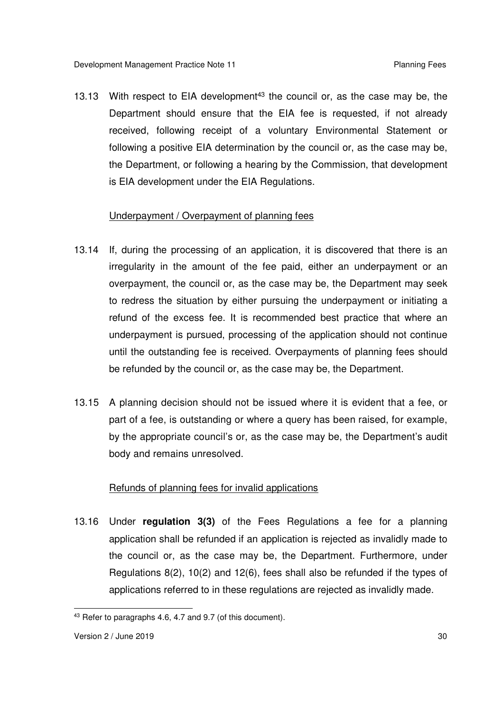13.13 With respect to EIA development<sup>43</sup> the council or, as the case may be, the Department should ensure that the EIA fee is requested, if not already received, following receipt of a voluntary Environmental Statement or following a positive EIA determination by the council or, as the case may be, the Department, or following a hearing by the Commission, that development is EIA development under the EIA Regulations.

#### Underpayment / Overpayment of planning fees

- 13.14 If, during the processing of an application, it is discovered that there is an irregularity in the amount of the fee paid, either an underpayment or an overpayment, the council or, as the case may be, the Department may seek to redress the situation by either pursuing the underpayment or initiating a refund of the excess fee. It is recommended best practice that where an underpayment is pursued, processing of the application should not continue until the outstanding fee is received. Overpayments of planning fees should be refunded by the council or, as the case may be, the Department.
- 13.15 A planning decision should not be issued where it is evident that a fee, or part of a fee, is outstanding or where a query has been raised, for example, by the appropriate council's or, as the case may be, the Department's audit body and remains unresolved.

#### Refunds of planning fees for invalid applications

 13.16 Under **regulation 3(3)** of the Fees Regulations a fee for a planning application shall be refunded if an application is rejected as invalidly made to the council or, as the case may be, the Department. Furthermore, under Regulations 8(2), 10(2) and 12(6), fees shall also be refunded if the types of applications referred to in these regulations are rejected as invalidly made.

 $\overline{a}$ <sup>43</sup> Refer to paragraphs 4.6, 4.7 and 9.7 (of this document).

 Version 2 / June 2019 30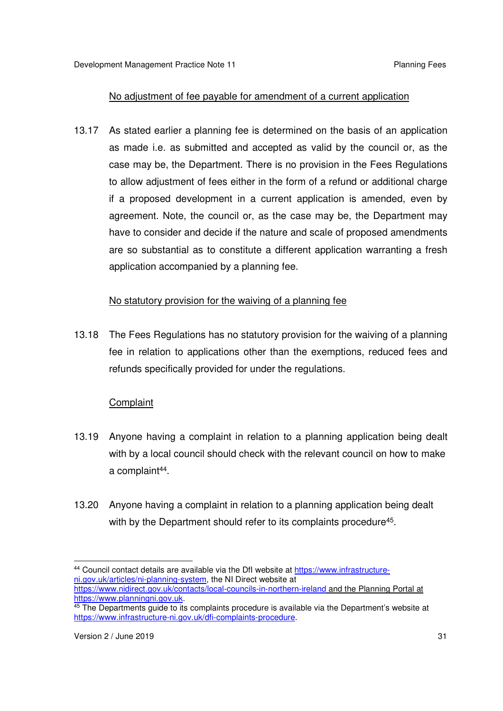## No adjustment of fee payable for amendment of a current application

 13.17 As stated earlier a planning fee is determined on the basis of an application as made i.e. as submitted and accepted as valid by the council or, as the case may be, the Department. There is no provision in the Fees Regulations to allow adjustment of fees either in the form of a refund or additional charge if a proposed development in a current application is amended, even by agreement. Note, the council or, as the case may be, the Department may have to consider and decide if the nature and scale of proposed amendments are so substantial as to constitute a different application warranting a fresh application accompanied by a planning fee.

## No statutory provision for the waiving of a planning fee

13.18 fee in relation to applications other than the exemptions, reduced fees and refunds specifically provided for under the regulations. The Fees Regulations has no statutory provision for the waiving of a planning

## **Complaint**

- 13.19 Anyone having a complaint in relation to a planning application being dealt with by a local council should check with the relevant council on how to make a complaint<sup>44</sup>.
- 13.20 Anyone having a complaint in relation to a planning application being dealt with by the Department should refer to its complaints procedure<sup>45</sup>.

 $\overline{a}$ <sup>44</sup> Council contact details are available via the DfI website at https://www.infrastructureni.gov.uk/articles/ni-planning-system, the NI Direct website at https://www.nidirect.gov.uk/contacts/local-councils-in-northern-ireland and the Planning Portal at https://www.planningni.gov.uk.

<sup>&</sup>lt;u>https://www.planningni.gov.uk</u>.<br><sup>45</sup> The Departments guide to its complaints procedure is available via the Department's website at https://www.infrastructure-ni.gov.uk/dfi-complaints-procedure.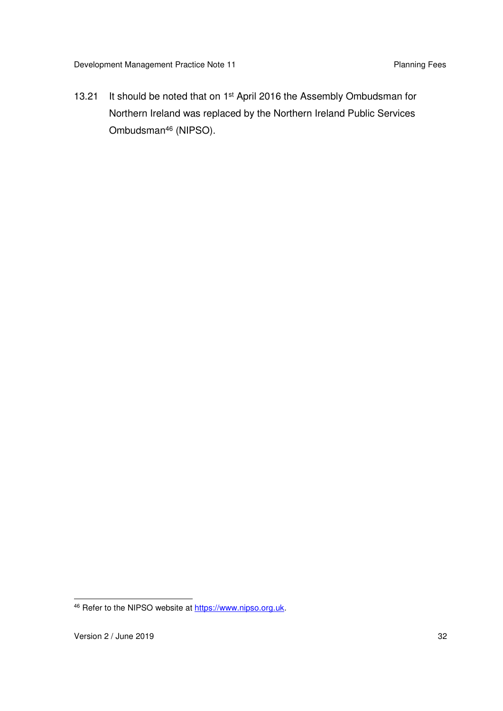Development Management Practice Note 11 **Planning Fees** Planning Fees

13.21 Northern Ireland was replaced by the Northern Ireland Public Services It should be noted that on 1<sup>st</sup> April 2016 the Assembly Ombudsman for Ombudsman46 (NIPSO).

 $\overline{a}$ 46 Refer to the NIPSO website at https://www.nipso.org.uk.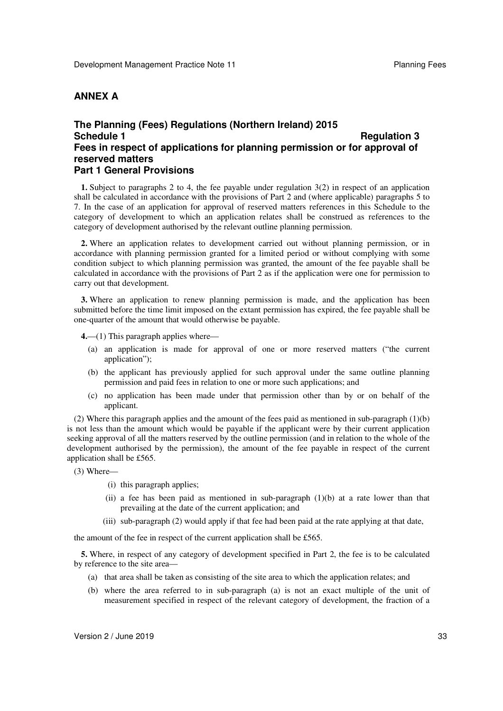#### **ANNEX A**

#### **The Planning (Fees) Regulations (Northern Ireland) 2015 Schedule 1 Fees in respect of applications for planning permission or for approval of reserved matters Part 1 General Provisions Regulation 3**

 **1.** Subject to paragraphs 2 to 4, the fee payable under regulation 3(2) in respect of an application shall be calculated in accordance with the provisions of Part 2 and (where applicable) paragraphs 5 to 7. In the case of an application for approval of reserved matters references in this Schedule to the category of development to which an application relates shall be construed as references to the category of development authorised by the relevant outline planning permission.

 **2.** Where an application relates to development carried out without planning permission, or in accordance with planning permission granted for a limited period or without complying with some condition subject to which planning permission was granted, the amount of the fee payable shall be calculated in accordance with the provisions of Part 2 as if the application were one for permission to carry out that development.

 **3.** Where an application to renew planning permission is made, and the application has been submitted before the time limit imposed on the extant permission has expired, the fee payable shall be one-quarter of the amount that would otherwise be payable.

**4.**—(1) This paragraph applies where—

- (a) an application is made for approval of one or more reserved matters ("the current application");
- (b) the applicant has previously applied for such approval under the same outline planning permission and paid fees in relation to one or more such applications; and
- (c) no application has been made under that permission other than by or on behalf of the applicant.

 (2) Where this paragraph applies and the amount of the fees paid as mentioned in sub-paragraph (1)(b) is not less than the amount which would be payable if the applicant were by their current application seeking approval of all the matters reserved by the outline permission (and in relation to the whole of the development authorised by the permission), the amount of the fee payable in respect of the current application shall be £565.

- (3) Where—
	- (i) this paragraph applies;
	- (ii) a fee has been paid as mentioned in sub-paragraph (1)(b) at a rate lower than that prevailing at the date of the current application; and
	- (iii) sub-paragraph (2) would apply if that fee had been paid at the rate applying at that date,

the amount of the fee in respect of the current application shall be £565.

 **5.** Where, in respect of any category of development specified in Part 2, the fee is to be calculated by reference to the site area—

- (a) that area shall be taken as consisting of the site area to which the application relates; and
- (b) where the area referred to in sub-paragraph (a) is not an exact multiple of the unit of measurement specified in respect of the relevant category of development, the fraction of a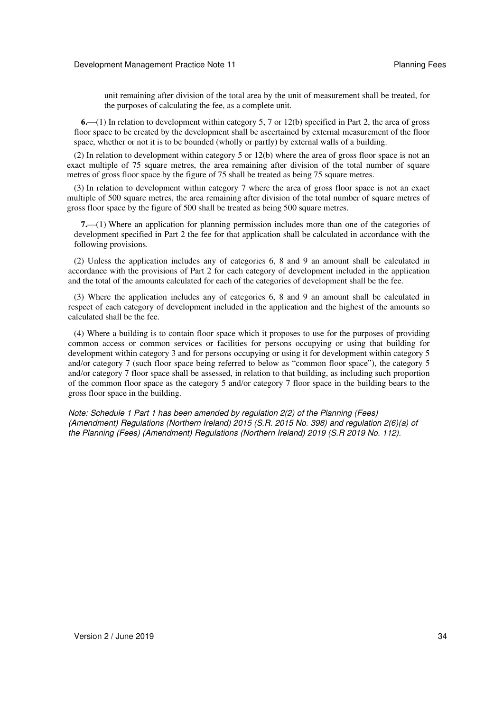unit remaining after division of the total area by the unit of measurement shall be treated, for the purposes of calculating the fee, as a complete unit.

 **6.**—(1) In relation to development within category 5, 7 or 12(b) specified in Part 2, the area of gross floor space to be created by the development shall be ascertained by external measurement of the floor space, whether or not it is to be bounded (wholly or partly) by external walls of a building.

 (2) In relation to development within category 5 or 12(b) where the area of gross floor space is not an exact multiple of 75 square metres, the area remaining after division of the total number of square metres of gross floor space by the figure of 75 shall be treated as being 75 square metres.

 (3) In relation to development within category 7 where the area of gross floor space is not an exact multiple of 500 square metres, the area remaining after division of the total number of square metres of gross floor space by the figure of 500 shall be treated as being 500 square metres.

 **7.**—(1) Where an application for planning permission includes more than one of the categories of development specified in Part 2 the fee for that application shall be calculated in accordance with the following provisions.

 (2) Unless the application includes any of categories 6, 8 and 9 an amount shall be calculated in accordance with the provisions of Part 2 for each category of development included in the application and the total of the amounts calculated for each of the categories of development shall be the fee.

 (3) Where the application includes any of categories 6, 8 and 9 an amount shall be calculated in respect of each category of development included in the application and the highest of the amounts so calculated shall be the fee.

 (4) Where a building is to contain floor space which it proposes to use for the purposes of providing common access or common services or facilities for persons occupying or using that building for development within category 3 and for persons occupying or using it for development within category 5 and/or category 7 (such floor space being referred to below as "common floor space"), the category 5 of the common floor space as the category 5 and/or category 7 floor space in the building bears to the gross floor space in the building. and/or category 7 floor space shall be assessed, in relation to that building, as including such proportion

 *Note: Schedule 1 Part 1 has been amended by regulation 2(2) of the Planning (Fees) (Amendment) Regulations (Northern Ireland) 2015 (S.R. 2015 No. 398) and regulation 2(6)(a) of the Planning (Fees) (Amendment) Regulations (Northern Ireland) 2019 (S.R 2019 No. 112).*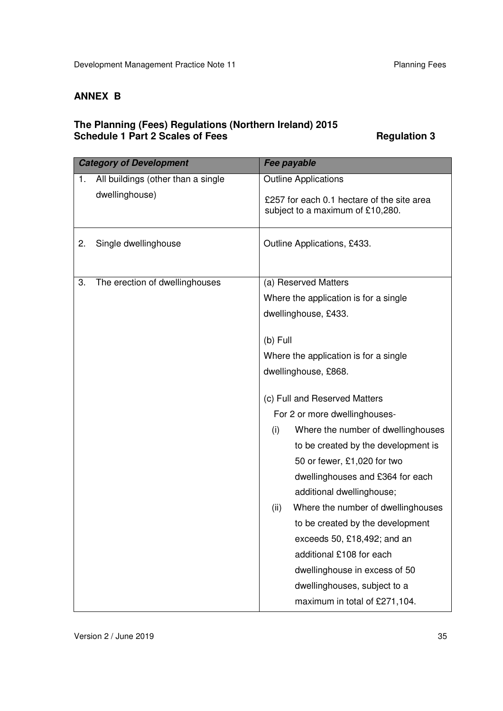#### **ANNEX B**

#### **The Planning (Fees) Regulations (Northern Ireland) 2015 Schedule 1 Part 2 Scales of Fees Area Regulation 3 Area Regulation 3**

| <b>Category of Development</b> |                                    | Fee payable                                                                    |
|--------------------------------|------------------------------------|--------------------------------------------------------------------------------|
| 1.                             | All buildings (other than a single | <b>Outline Applications</b>                                                    |
|                                | dwellinghouse)                     | £257 for each 0.1 hectare of the site area<br>subject to a maximum of £10,280. |
| 2.                             | Single dwellinghouse               | Outline Applications, £433.                                                    |
| 3.                             | The erection of dwellinghouses     | (a) Reserved Matters                                                           |
|                                |                                    | Where the application is for a single                                          |
|                                |                                    | dwellinghouse, £433.                                                           |
|                                |                                    | $(b)$ Full                                                                     |
|                                |                                    | Where the application is for a single                                          |
|                                |                                    | dwellinghouse, £868.                                                           |
|                                |                                    |                                                                                |
|                                |                                    | (c) Full and Reserved Matters                                                  |
|                                |                                    | For 2 or more dwellinghouses-                                                  |
|                                |                                    | Where the number of dwellinghouses<br>(i)                                      |
|                                |                                    | to be created by the development is                                            |
|                                |                                    | 50 or fewer, £1,020 for two                                                    |
|                                |                                    | dwellinghouses and £364 for each                                               |
|                                |                                    | additional dwellinghouse;                                                      |
|                                |                                    | Where the number of dwellinghouses<br>(ii)                                     |
|                                |                                    | to be created by the development                                               |
|                                |                                    | exceeds 50, £18,492; and an                                                    |
|                                |                                    | additional £108 for each                                                       |
|                                |                                    | dwellinghouse in excess of 50                                                  |
|                                |                                    | dwellinghouses, subject to a                                                   |
|                                |                                    | maximum in total of £271,104.                                                  |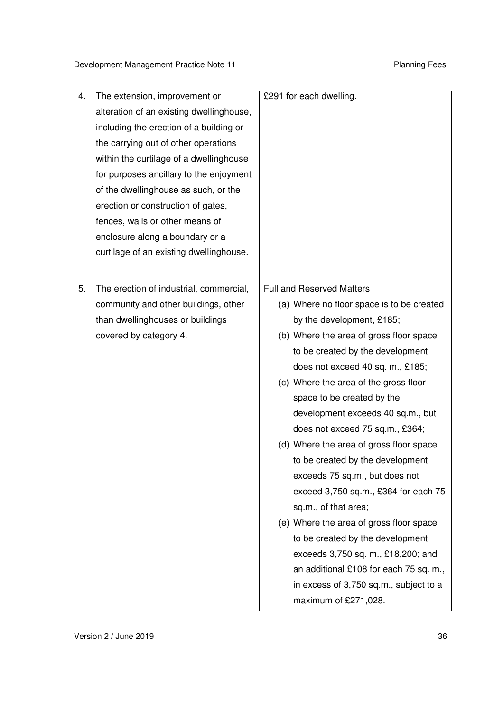| 4. | The extension, improvement or<br>alteration of an existing dwellinghouse,<br>including the erection of a building or<br>the carrying out of other operations<br>within the curtilage of a dwellinghouse<br>for purposes ancillary to the enjoyment | £291 for each dwelling.                   |
|----|----------------------------------------------------------------------------------------------------------------------------------------------------------------------------------------------------------------------------------------------------|-------------------------------------------|
|    | of the dwellinghouse as such, or the<br>erection or construction of gates,                                                                                                                                                                         |                                           |
|    | fences, walls or other means of                                                                                                                                                                                                                    |                                           |
|    | enclosure along a boundary or a                                                                                                                                                                                                                    |                                           |
|    | curtilage of an existing dwellinghouse.                                                                                                                                                                                                            |                                           |
|    |                                                                                                                                                                                                                                                    |                                           |
| 5. | The erection of industrial, commercial,                                                                                                                                                                                                            | <b>Full and Reserved Matters</b>          |
|    | community and other buildings, other                                                                                                                                                                                                               | (a) Where no floor space is to be created |
|    | than dwellinghouses or buildings                                                                                                                                                                                                                   | by the development, £185;                 |
|    | covered by category 4.                                                                                                                                                                                                                             | (b) Where the area of gross floor space   |
|    |                                                                                                                                                                                                                                                    | to be created by the development          |
|    |                                                                                                                                                                                                                                                    | does not exceed 40 sq. m., £185;          |
|    |                                                                                                                                                                                                                                                    | (c) Where the area of the gross floor     |
|    |                                                                                                                                                                                                                                                    | space to be created by the                |
|    |                                                                                                                                                                                                                                                    | development exceeds 40 sq.m., but         |
|    |                                                                                                                                                                                                                                                    | does not exceed 75 sq.m., £364;           |
|    |                                                                                                                                                                                                                                                    | (d) Where the area of gross floor space   |
|    |                                                                                                                                                                                                                                                    | to be created by the development          |
|    |                                                                                                                                                                                                                                                    | exceeds 75 sq.m., but does not            |
|    |                                                                                                                                                                                                                                                    | exceed 3,750 sq.m., £364 for each 75      |
|    |                                                                                                                                                                                                                                                    | sq.m., of that area;                      |
|    |                                                                                                                                                                                                                                                    | (e) Where the area of gross floor space   |
|    |                                                                                                                                                                                                                                                    | to be created by the development          |
|    |                                                                                                                                                                                                                                                    | exceeds 3,750 sq. m., £18,200; and        |
|    |                                                                                                                                                                                                                                                    | an additional £108 for each 75 sq. m.,    |
|    |                                                                                                                                                                                                                                                    | in excess of 3,750 sq.m., subject to a    |
|    |                                                                                                                                                                                                                                                    | maximum of £271,028.                      |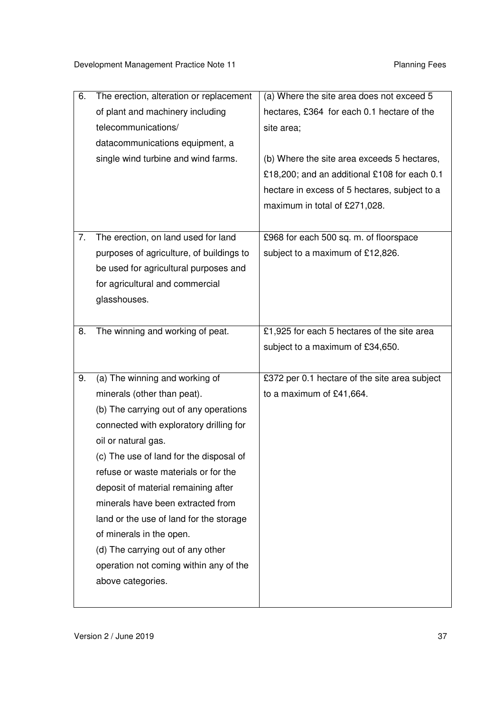| 6. | The erection, alteration or replacement  | (a) Where the site area does not exceed 5     |
|----|------------------------------------------|-----------------------------------------------|
|    | of plant and machinery including         | hectares, £364 for each 0.1 hectare of the    |
|    | telecommunications/                      | site area;                                    |
|    | datacommunications equipment, a          |                                               |
|    | single wind turbine and wind farms.      | (b) Where the site area exceeds 5 hectares,   |
|    |                                          | £18,200; and an additional £108 for each 0.1  |
|    |                                          | hectare in excess of 5 hectares, subject to a |
|    |                                          | maximum in total of £271,028.                 |
|    |                                          |                                               |
| 7. | The erection, on land used for land      | £968 for each 500 sq. m. of floorspace        |
|    | purposes of agriculture, of buildings to | subject to a maximum of £12,826.              |
|    | be used for agricultural purposes and    |                                               |
|    | for agricultural and commercial          |                                               |
|    | glasshouses.                             |                                               |
|    |                                          |                                               |
| 8. | The winning and working of peat.         | £1,925 for each 5 hectares of the site area   |
|    |                                          | subject to a maximum of £34,650.              |
|    |                                          |                                               |
| 9. | (a) The winning and working of           | £372 per 0.1 hectare of the site area subject |
|    | minerals (other than peat).              | to a maximum of £41,664.                      |
|    | (b) The carrying out of any operations   |                                               |
|    | connected with exploratory drilling for  |                                               |
|    | oil or natural gas.                      |                                               |
|    | (c) The use of land for the disposal of  |                                               |
|    | refuse or waste materials or for the     |                                               |
|    | deposit of material remaining after      |                                               |
|    | minerals have been extracted from        |                                               |
|    | land or the use of land for the storage  |                                               |
|    | of minerals in the open.                 |                                               |
|    | (d) The carrying out of any other        |                                               |
|    | operation not coming within any of the   |                                               |
|    | above categories.                        |                                               |
|    |                                          |                                               |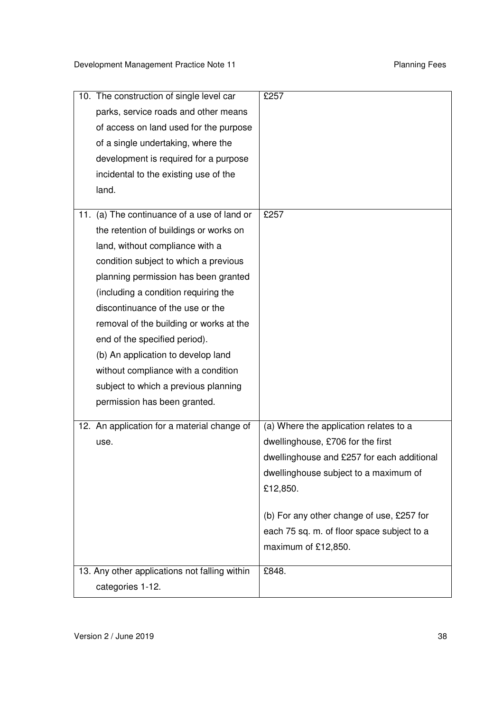| 10. The construction of single level car       | £257                                       |
|------------------------------------------------|--------------------------------------------|
| parks, service roads and other means           |                                            |
| of access on land used for the purpose         |                                            |
| of a single undertaking, where the             |                                            |
| development is required for a purpose          |                                            |
| incidental to the existing use of the          |                                            |
| land.                                          |                                            |
|                                                |                                            |
| (a) The continuance of a use of land or<br>11. | £257                                       |
| the retention of buildings or works on         |                                            |
| land, without compliance with a                |                                            |
| condition subject to which a previous          |                                            |
| planning permission has been granted           |                                            |
| (including a condition requiring the           |                                            |
| discontinuance of the use or the               |                                            |
| removal of the building or works at the        |                                            |
| end of the specified period).                  |                                            |
| (b) An application to develop land             |                                            |
| without compliance with a condition            |                                            |
| subject to which a previous planning           |                                            |
| permission has been granted.                   |                                            |
| 12. An application for a material change of    | (a) Where the application relates to a     |
|                                                | dwellinghouse, £706 for the first          |
| use.                                           |                                            |
|                                                | dwellinghouse and £257 for each additional |
|                                                | dwellinghouse subject to a maximum of      |
|                                                | £12,850.                                   |
|                                                | (b) For any other change of use, £257 for  |
|                                                | each 75 sq. m. of floor space subject to a |
|                                                | maximum of £12,850.                        |
|                                                |                                            |
| 13. Any other applications not falling within  | £848.                                      |
| categories 1-12.                               |                                            |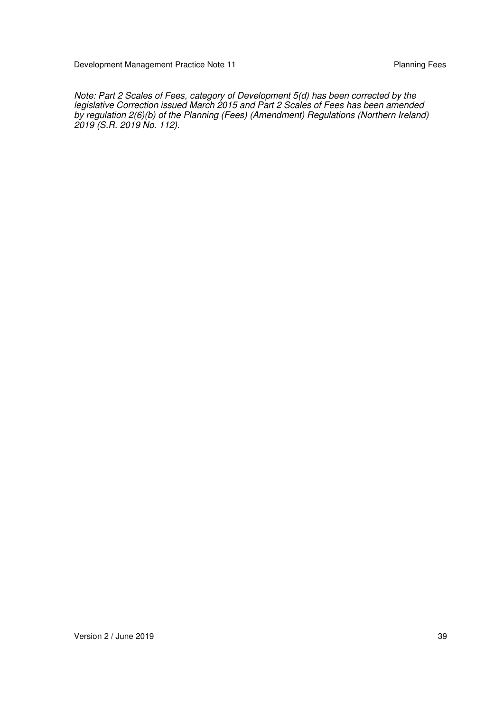Development Management Practice Note 11 **Planning Fees** Planning Fees

 by regulation 2(6)(b) of the Planning (Fees) (Amendment) Regulations (Northern Ireland)  *2019 (S.R. 2019 No. 112). Note: Part 2 Scales of Fees, category of Development 5(d) has been corrected by the legislative Correction issued March 2015 and Part 2 Scales of Fees has been amended*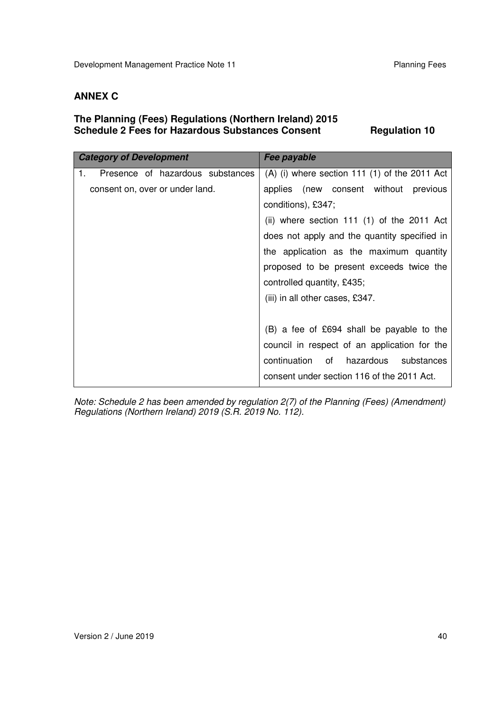#### **ANNEX C**

#### **The Planning (Fees) Regulations (Northern Ireland) 2015 Schedule 2 Fees for Hazardous Substances Consent Fregulation 10**

| <b>Category of Development</b>         | Fee payable                                     |
|----------------------------------------|-------------------------------------------------|
| Presence of hazardous substances<br>1. | $(A)$ (i) where section 111 (1) of the 2011 Act |
| consent on, over or under land.        | applies (new consent without previous           |
|                                        | conditions), £347;                              |
|                                        | (ii) where section 111 $(1)$ of the 2011 Act    |
|                                        | does not apply and the quantity specified in    |
|                                        | the application as the maximum quantity         |
|                                        | proposed to be present exceeds twice the        |
|                                        | controlled quantity, £435;                      |
|                                        | (iii) in all other cases, £347.                 |
|                                        |                                                 |
|                                        | (B) a fee of £694 shall be payable to the       |
|                                        | council in respect of an application for the    |
|                                        | continuation of hazardous<br>substances         |
|                                        | consent under section 116 of the 2011 Act.      |

 *Note: Schedule 2 has been amended by regulation 2(7) of the Planning (Fees) (Amendment) Regulations (Northern Ireland) 2019 (S.R. 2019 No. 112).*